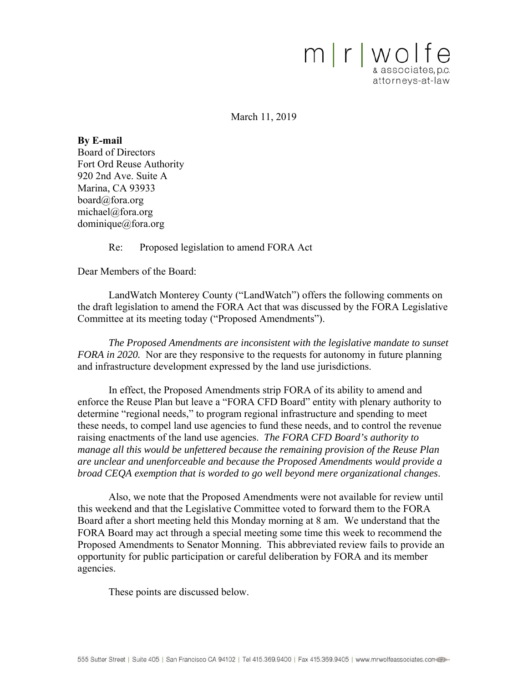

March 11, 2019

**By E-mail** Board of Directors Fort Ord Reuse Authority 920 2nd Ave. Suite A Marina, CA 93933 board@fora.org michael@fora.org dominique@fora.org

Re: Proposed legislation to amend FORA Act

Dear Members of the Board:

LandWatch Monterey County ("LandWatch") offers the following comments on the draft legislation to amend the FORA Act that was discussed by the FORA Legislative Committee at its meeting today ("Proposed Amendments").

*The Proposed Amendments are inconsistent with the legislative mandate to sunset FORA in 2020.* Nor are they responsive to the requests for autonomy in future planning and infrastructure development expressed by the land use jurisdictions.

In effect, the Proposed Amendments strip FORA of its ability to amend and enforce the Reuse Plan but leave a "FORA CFD Board" entity with plenary authority to determine "regional needs," to program regional infrastructure and spending to meet these needs, to compel land use agencies to fund these needs, and to control the revenue raising enactments of the land use agencies. *The FORA CFD Board's authority to manage all this would be unfettered because the remaining provision of the Reuse Plan are unclear and unenforceable and because the Proposed Amendments would provide a broad CEQA exemption that is worded to go well beyond mere organizational changes*.

Also, we note that the Proposed Amendments were not available for review until this weekend and that the Legislative Committee voted to forward them to the FORA Board after a short meeting held this Monday morning at 8 am. We understand that the FORA Board may act through a special meeting some time this week to recommend the Proposed Amendments to Senator Monning. This abbreviated review fails to provide an opportunity for public participation or careful deliberation by FORA and its member agencies.

These points are discussed below.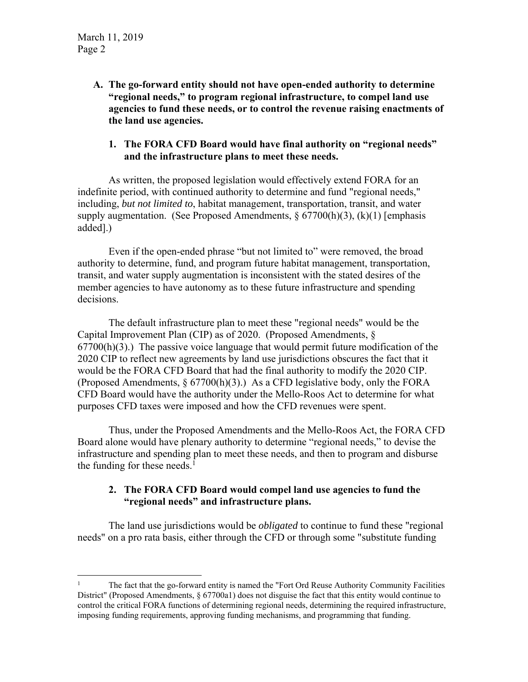**A. The go-forward entity should not have open-ended authority to determine "regional needs," to program regional infrastructure, to compel land use agencies to fund these needs, or to control the revenue raising enactments of the land use agencies.** 

## **1. The FORA CFD Board would have final authority on "regional needs" and the infrastructure plans to meet these needs.**

As written, the proposed legislation would effectively extend FORA for an indefinite period, with continued authority to determine and fund "regional needs," including, *but not limited to*, habitat management, transportation, transit, and water supply augmentation. (See Proposed Amendments,  $\S 67700(h)(3)$ ,  $(k)(1)$  [emphasis added].)

Even if the open-ended phrase "but not limited to" were removed, the broad authority to determine, fund, and program future habitat management, transportation, transit, and water supply augmentation is inconsistent with the stated desires of the member agencies to have autonomy as to these future infrastructure and spending decisions.

The default infrastructure plan to meet these "regional needs" would be the Capital Improvement Plan (CIP) as of 2020. (Proposed Amendments, § 67700(h)(3).) The passive voice language that would permit future modification of the 2020 CIP to reflect new agreements by land use jurisdictions obscures the fact that it would be the FORA CFD Board that had the final authority to modify the 2020 CIP. (Proposed Amendments,  $\S 67700(h)(3)$ .) As a CFD legislative body, only the FORA CFD Board would have the authority under the Mello-Roos Act to determine for what purposes CFD taxes were imposed and how the CFD revenues were spent.

Thus, under the Proposed Amendments and the Mello-Roos Act, the FORA CFD Board alone would have plenary authority to determine "regional needs," to devise the infrastructure and spending plan to meet these needs, and then to program and disburse the funding for these needs.<sup>1</sup>

## **2. The FORA CFD Board would compel land use agencies to fund the "regional needs" and infrastructure plans.**

The land use jurisdictions would be *obligated* to continue to fund these "regional needs" on a pro rata basis, either through the CFD or through some "substitute funding

 $\frac{1}{1}$  The fact that the go-forward entity is named the "Fort Ord Reuse Authority Community Facilities District" (Proposed Amendments, § 67700a1) does not disguise the fact that this entity would continue to control the critical FORA functions of determining regional needs, determining the required infrastructure, imposing funding requirements, approving funding mechanisms, and programming that funding.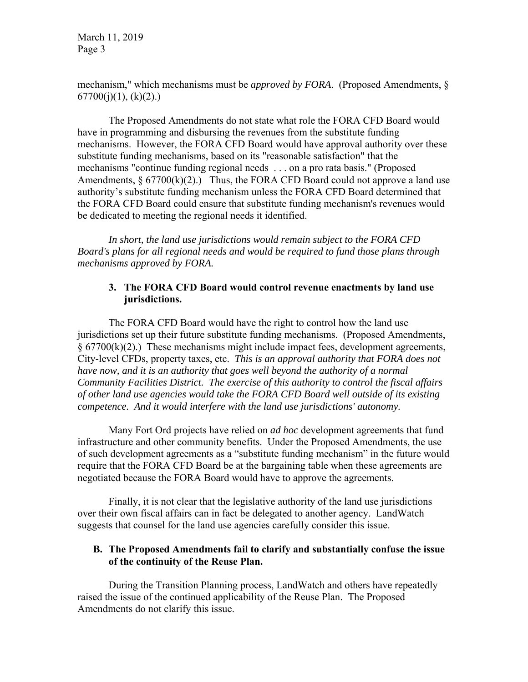mechanism," which mechanisms must be *approved by FORA*. (Proposed Amendments, §  $67700(i)(1)$ ,  $(k)(2)$ .

The Proposed Amendments do not state what role the FORA CFD Board would have in programming and disbursing the revenues from the substitute funding mechanisms. However, the FORA CFD Board would have approval authority over these substitute funding mechanisms, based on its "reasonable satisfaction" that the mechanisms "continue funding regional needs . . . on a pro rata basis." (Proposed Amendments,  $\S 67700(k)(2)$ .) Thus, the FORA CFD Board could not approve a land use authority's substitute funding mechanism unless the FORA CFD Board determined that the FORA CFD Board could ensure that substitute funding mechanism's revenues would be dedicated to meeting the regional needs it identified.

*In short, the land use jurisdictions would remain subject to the FORA CFD Board's plans for all regional needs and would be required to fund those plans through mechanisms approved by FORA.*

## **3. The FORA CFD Board would control revenue enactments by land use jurisdictions.**

The FORA CFD Board would have the right to control how the land use jurisdictions set up their future substitute funding mechanisms. (Proposed Amendments,  $§ 67700(k)(2)$ .) These mechanisms might include impact fees, development agreements, City-level CFDs, property taxes, etc. *This is an approval authority that FORA does not have now, and it is an authority that goes well beyond the authority of a normal Community Facilities District. The exercise of this authority to control the fiscal affairs of other land use agencies would take the FORA CFD Board well outside of its existing competence. And it would interfere with the land use jurisdictions' autonomy.* 

Many Fort Ord projects have relied on *ad hoc* development agreements that fund infrastructure and other community benefits. Under the Proposed Amendments, the use of such development agreements as a "substitute funding mechanism" in the future would require that the FORA CFD Board be at the bargaining table when these agreements are negotiated because the FORA Board would have to approve the agreements.

Finally, it is not clear that the legislative authority of the land use jurisdictions over their own fiscal affairs can in fact be delegated to another agency. LandWatch suggests that counsel for the land use agencies carefully consider this issue.

## **B. The Proposed Amendments fail to clarify and substantially confuse the issue of the continuity of the Reuse Plan.**

During the Transition Planning process, LandWatch and others have repeatedly raised the issue of the continued applicability of the Reuse Plan. The Proposed Amendments do not clarify this issue.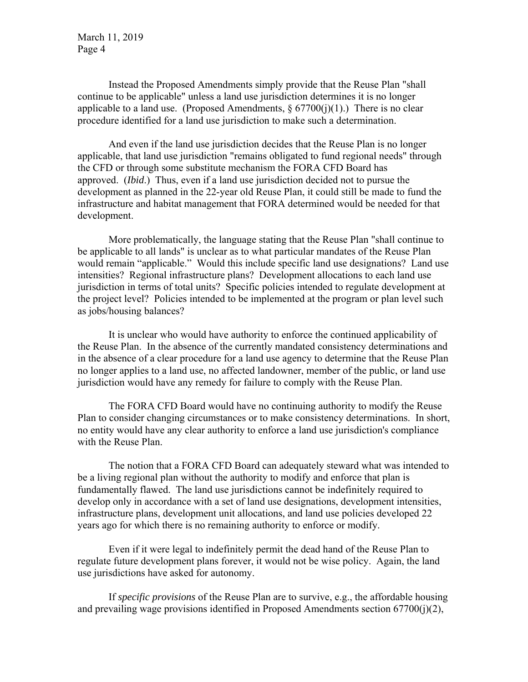Instead the Proposed Amendments simply provide that the Reuse Plan "shall continue to be applicable" unless a land use jurisdiction determines it is no longer applicable to a land use. (Proposed Amendments,  $\S 67700(i)(1)$ .) There is no clear procedure identified for a land use jurisdiction to make such a determination.

And even if the land use jurisdiction decides that the Reuse Plan is no longer applicable, that land use jurisdiction "remains obligated to fund regional needs" through the CFD or through some substitute mechanism the FORA CFD Board has approved. (*Ibid*.) Thus, even if a land use jurisdiction decided not to pursue the development as planned in the 22-year old Reuse Plan, it could still be made to fund the infrastructure and habitat management that FORA determined would be needed for that development.

More problematically, the language stating that the Reuse Plan "shall continue to be applicable to all lands" is unclear as to what particular mandates of the Reuse Plan would remain "applicable." Would this include specific land use designations? Land use intensities? Regional infrastructure plans? Development allocations to each land use jurisdiction in terms of total units? Specific policies intended to regulate development at the project level? Policies intended to be implemented at the program or plan level such as jobs/housing balances?

It is unclear who would have authority to enforce the continued applicability of the Reuse Plan. In the absence of the currently mandated consistency determinations and in the absence of a clear procedure for a land use agency to determine that the Reuse Plan no longer applies to a land use, no affected landowner, member of the public, or land use jurisdiction would have any remedy for failure to comply with the Reuse Plan.

The FORA CFD Board would have no continuing authority to modify the Reuse Plan to consider changing circumstances or to make consistency determinations. In short, no entity would have any clear authority to enforce a land use jurisdiction's compliance with the Reuse Plan.

The notion that a FORA CFD Board can adequately steward what was intended to be a living regional plan without the authority to modify and enforce that plan is fundamentally flawed. The land use jurisdictions cannot be indefinitely required to develop only in accordance with a set of land use designations, development intensities, infrastructure plans, development unit allocations, and land use policies developed 22 years ago for which there is no remaining authority to enforce or modify.

Even if it were legal to indefinitely permit the dead hand of the Reuse Plan to regulate future development plans forever, it would not be wise policy. Again, the land use jurisdictions have asked for autonomy.

If *specific provisions* of the Reuse Plan are to survive, e.g., the affordable housing and prevailing wage provisions identified in Proposed Amendments section 67700(j)(2),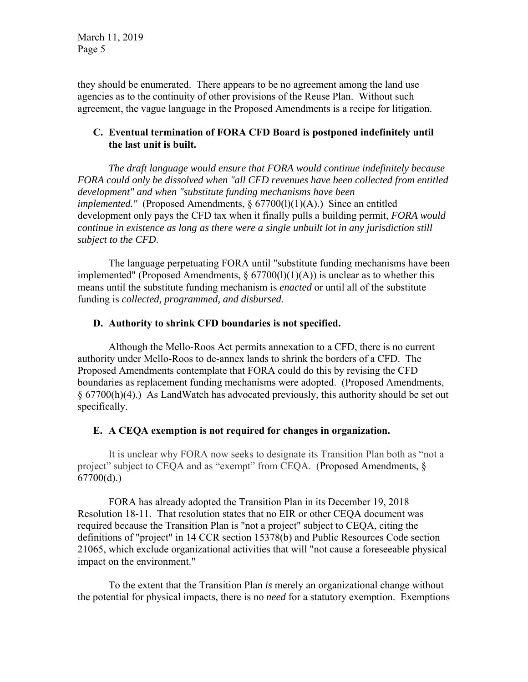they should be enumerated. There appears to be no agreement among the land use agencies as to the continuity of other provisions of the Reuse Plan. Without such agreement, the vague language in the Proposed Amendments is a recipe for litigation.

### **C. Eventual termination of FORA CFD Board is postponed indefinitely until the last unit is built.**

*The draft language would ensure that FORA would continue indefinitely because FORA could only be dissolved when "all CFD revenues have been collected from entitled development" and when "substitute funding mechanisms have been implemented."* (Proposed Amendments, § 67700(1)(1)(A).) Since an entitled development only pays the CFD tax when it finally pulls a building permit, *FORA would continue in existence as long as there were a single unbuilt lot in any jurisdiction still subject to the CFD*.

The language perpetuating FORA until "substitute funding mechanisms have been implemented" (Proposed Amendments,  $\S 67700(1)(1)(A)$ ) is unclear as to whether this means until the substitute funding mechanism is *enacted* or until all of the substitute funding is *collected, programmed, and disbursed*.

#### **D. Authority to shrink CFD boundaries is not specified.**

Although the Mello-Roos Act permits annexation to a CFD, there is no current authority under Mello-Roos to de-annex lands to shrink the borders of a CFD. The Proposed Amendments contemplate that FORA could do this by revising the CFD boundaries as replacement funding mechanisms were adopted. (Proposed Amendments, § 67700(h)(4).) As LandWatch has advocated previously, this authority should be set out specifically.

# **E. A CEQA exemption is not required for changes in organization.**

It is unclear why FORA now seeks to designate its Transition Plan both as "not a project" subject to CEQA and as "exempt" from CEQA. (Proposed Amendments, §  $67700(d)$ .)

FORA has already adopted the Transition Plan in its December 19, 2018 Resolution 18-11. That resolution states that no EIR or other CEQA document was required because the Transition Plan is "not a project" subject to CEQA, citing the definitions of "project" in 14 CCR section 15378(b) and Public Resources Code section 21065, which exclude organizational activities that will "not cause a foreseeable physical impact on the environment."

To the extent that the Transition Plan *is* merely an organizational change without the potential for physical impacts, there is no *need* for a statutory exemption. Exemptions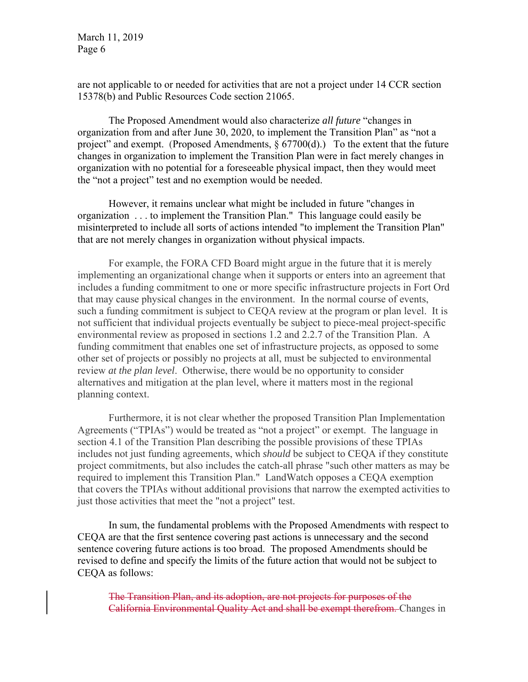are not applicable to or needed for activities that are not a project under 14 CCR section 15378(b) and Public Resources Code section 21065.

The Proposed Amendment would also characterize *all future* "changes in organization from and after June 30, 2020, to implement the Transition Plan" as "not a project" and exempt. (Proposed Amendments,  $\S 67700(d)$ .) To the extent that the future changes in organization to implement the Transition Plan were in fact merely changes in organization with no potential for a foreseeable physical impact, then they would meet the "not a project" test and no exemption would be needed.

However, it remains unclear what might be included in future "changes in organization . . . to implement the Transition Plan." This language could easily be misinterpreted to include all sorts of actions intended "to implement the Transition Plan" that are not merely changes in organization without physical impacts.

For example, the FORA CFD Board might argue in the future that it is merely implementing an organizational change when it supports or enters into an agreement that includes a funding commitment to one or more specific infrastructure projects in Fort Ord that may cause physical changes in the environment. In the normal course of events, such a funding commitment is subject to CEQA review at the program or plan level. It is not sufficient that individual projects eventually be subject to piece-meal project-specific environmental review as proposed in sections 1.2 and 2.2.7 of the Transition Plan. A funding commitment that enables one set of infrastructure projects, as opposed to some other set of projects or possibly no projects at all, must be subjected to environmental review *at the plan level*. Otherwise, there would be no opportunity to consider alternatives and mitigation at the plan level, where it matters most in the regional planning context.

Furthermore, it is not clear whether the proposed Transition Plan Implementation Agreements ("TPIAs") would be treated as "not a project" or exempt. The language in section 4.1 of the Transition Plan describing the possible provisions of these TPIAs includes not just funding agreements, which *should* be subject to CEQA if they constitute project commitments, but also includes the catch-all phrase "such other matters as may be required to implement this Transition Plan." LandWatch opposes a CEQA exemption that covers the TPIAs without additional provisions that narrow the exempted activities to just those activities that meet the "not a project" test.

In sum, the fundamental problems with the Proposed Amendments with respect to CEQA are that the first sentence covering past actions is unnecessary and the second sentence covering future actions is too broad. The proposed Amendments should be revised to define and specify the limits of the future action that would not be subject to CEQA as follows:

The Transition Plan, and its adoption, are not projects for purposes of the California Environmental Quality Act and shall be exempt therefrom. Changes in